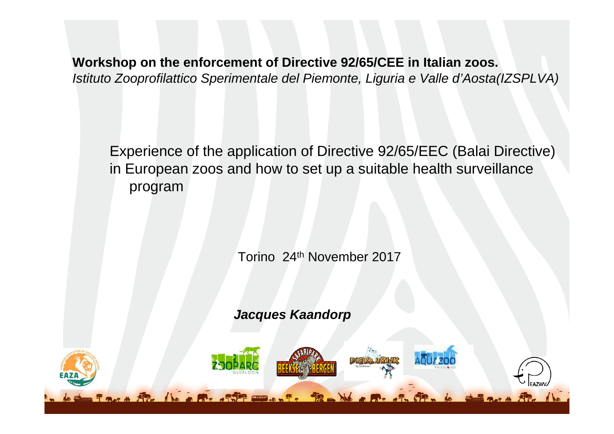**Workshop on the enforcement of Directive 92/65/CEE in Italian zoos.**Istituto Zooprofilattico Sperimentale del Piemonte, Liguria e Valle d'Aosta(IZSPLVA)

Experience of the application of Directive 92/65/EEC (Balai Directive)in European zoos and how to set up a suitable health surveillance program

Torino 24th November 2017

**Jacques Kaandorp**

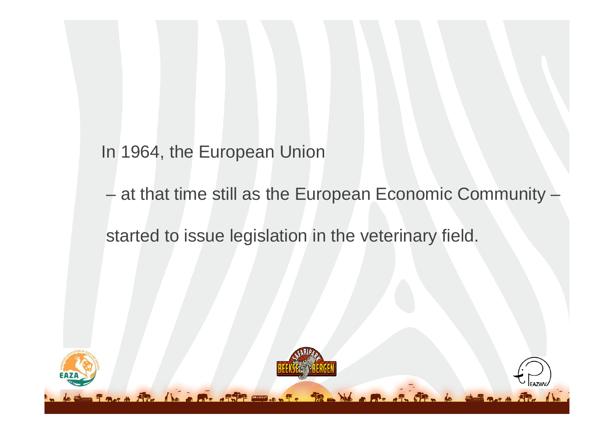In 1964, the European Union

at that time still as the European Economic Community –

started to issue legislation in the veterinary field.

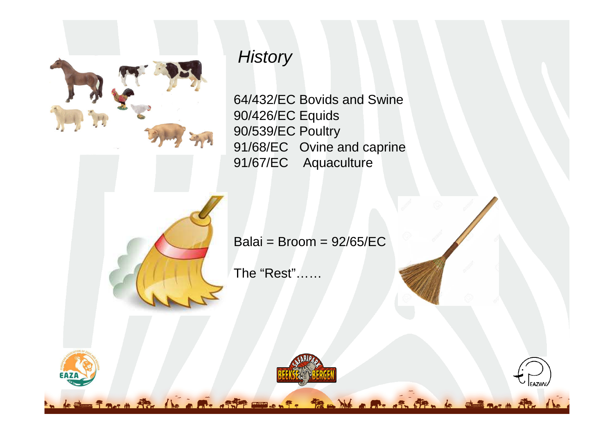

#### **History**

64/432/EC Bovids and Swine90/426/EC Equids 90/539/EC Poultry 91/68/EC Ovine and caprine91/67/EC Aquaculture



Bett Ale die a Fit of The come of the

 $Balai = Broom = 92/65/EC$ 

春

 $\mathbf{H}$ 

The "Rest"……





 $+ + +$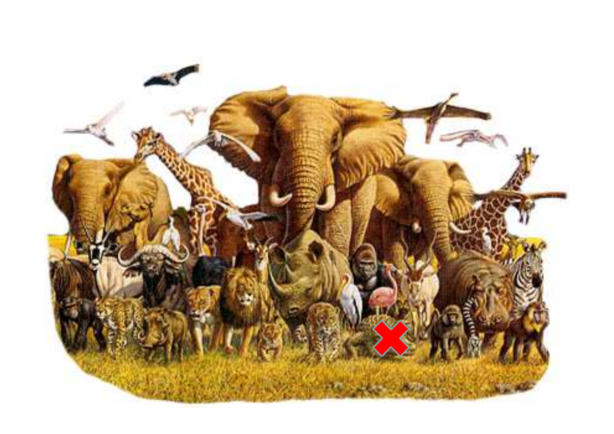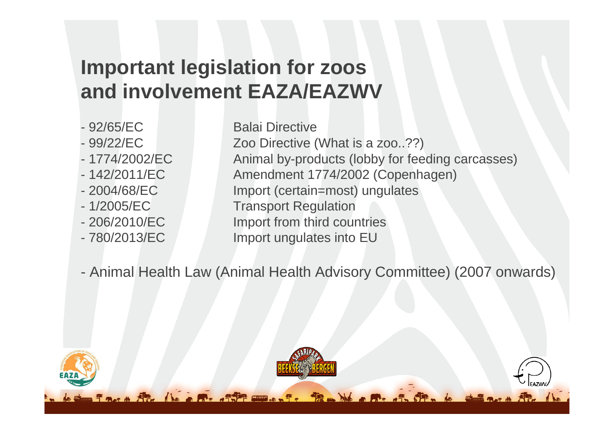# **Important legislation for zoosand involvement EAZA/EAZWV**

- $-92/65/EC$
- $-99/22/EC$
- 1774/2002/EC
- $-142/2011/EC$
- 2004/68/EC
- 1/2005/EC
- 206/2010/EC
- 780/2013/EC

**Balai Directive** 99/22/EC Zoo Directive (What is a zoo..??) 1774/2002/EC Animal by-products (lobby for feeding carcasses)Amendment 1774/2002 (Copenhagen) Import (certain=most) ungulates **Transport Regulation**  206/2010/EC Import from third countriesImport ungulates into EU

Animal Health Law (Animal Health Advisory Committee) (2007 onwards)

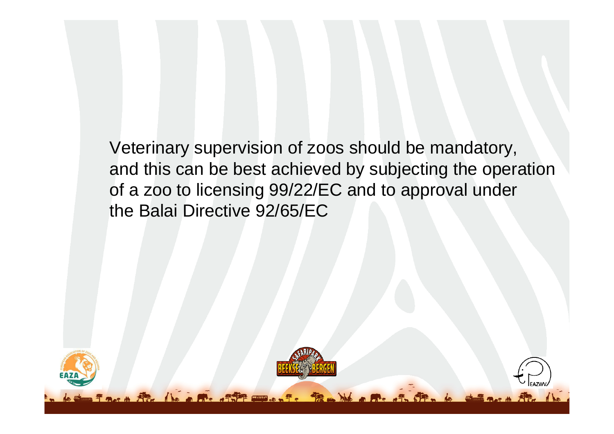Veterinary supervision of zoos should be mandatory,and this can be best achieved by subjecting the operationof a zoo to licensing 99/22/EC and to approval underthe Balai Directive 92/65/EC

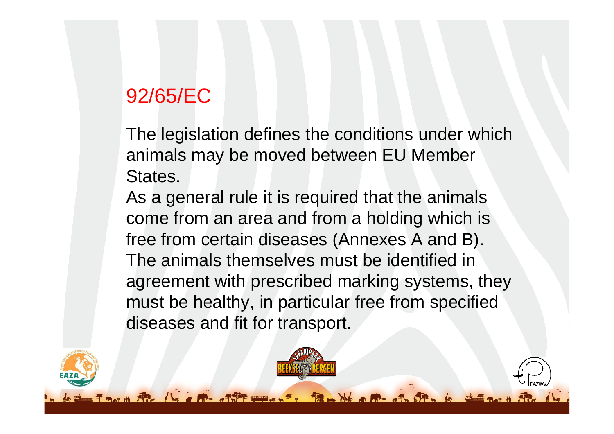## 92/65/EC

The legislation defines the conditions under which animals may be moved between EU Member States.

As a general rule it is required that the animals come from an area and from a holding which is free from certain diseases (Annexes A and B). The animals themselves must be identified in agreement with prescribed marking systems, theymust be healthy, in particular free from specified diseases and fit for transport.

**THE STATE SHOP AS THE STATE OF BUT A FILED AT A STATE OF BUT A FILED AT A STATE OF BUT A FILED AT A STATE OF BUT A STATE OF BUT A STATE OF BUT A STATE OF BUT A STATE OF BUT A STATE OF BUT A STATE OF BUT A STATE OF BUT A S** 

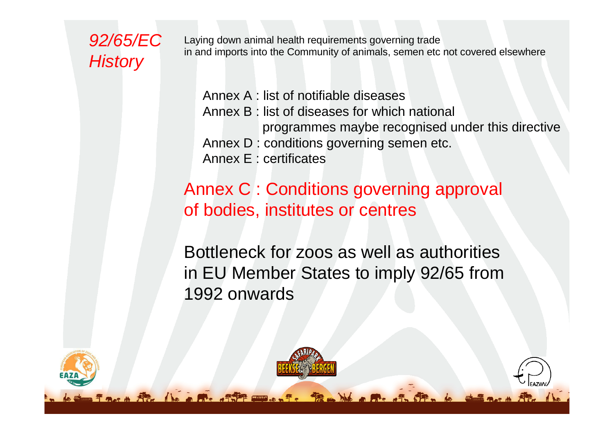#### 92/65/EC **History**

Laying down animal health requirements governing tradein and imports into the Community of animals, semen etc not covered elsewhere

Annex A : list of notifiable diseases Annex B : list of diseases for which nationalprogrammes maybe recognised under this directiveAnnex D : conditions governing semen etc.Annex E : certificates

Annex C : Conditions governing approval of bodies, institutes or centres

Bottleneck for zoos as well as authorities in EU Member States to imply 92/65 from1992 onwards

Bet the The of the office of the the offer of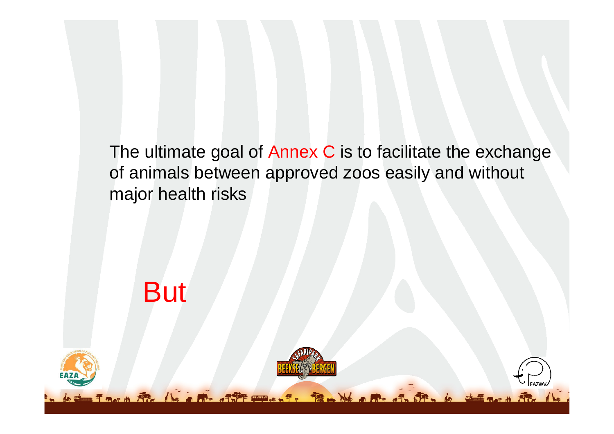The ultimate goal of Annex C is to facilitate the exchange of animals between approved zoos easily and withoutmajor health risks

**ERAT M APA** 

That the the office of the second of the the office of the state

**But**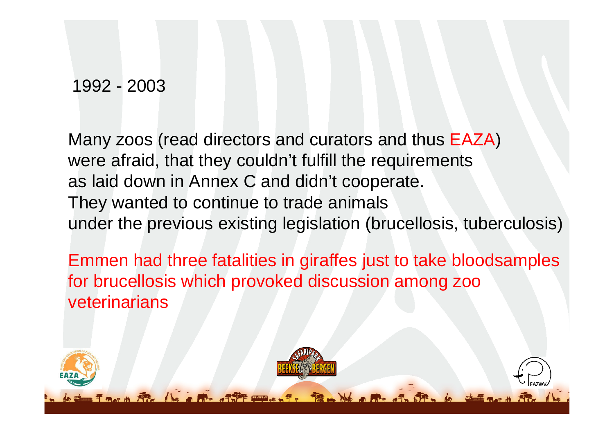#### 1992 - 2003

Many zoos (read directors and curators and thus EAZA) were afraid, that they couldn't fulfill the requirementsas laid down in Annex C and didn't cooperate.They wanted to continue to trade animalsunder the previous existing legislation (brucellosis, tuberculosis)

Emmen had three fatalities in giraffes just to take bloodsamplesfor brucellosis which provoked discussion among zooveterinarians

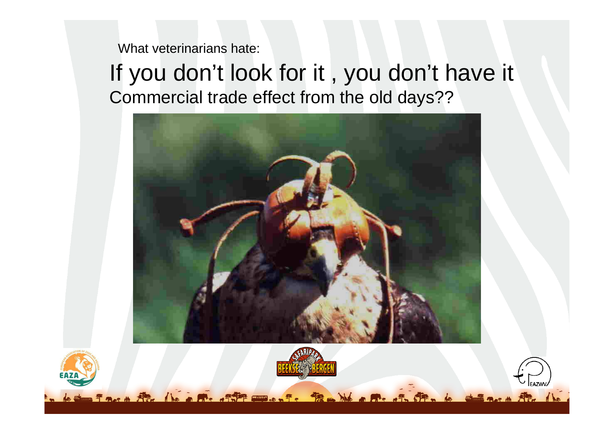What veterinarians hate:

# If you don't look for it , you don't have itCommercial trade effect from the old days??

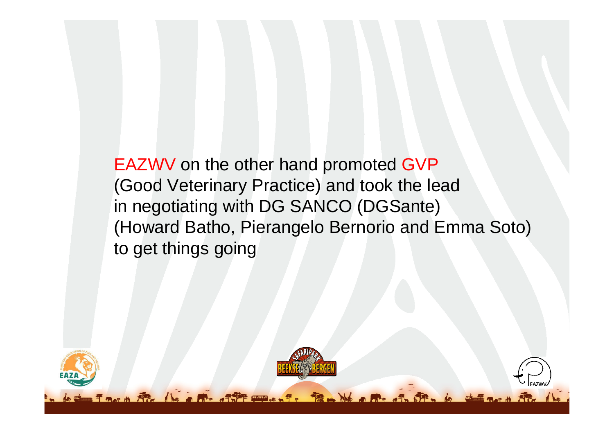EAZWV on the other hand promoted GVP (Good Veterinary Practice) and took the leadin negotiating with DG SANCO (DGSante) (Howard Batho, Pierangelo Bernorio and Emma Soto)to get things going

Bett after the a first staff was after the his a first staff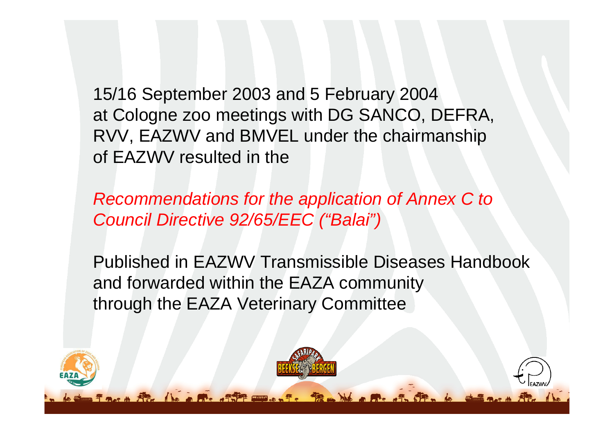15/16 September 2003 and 5 February 2004 at Cologne zoo meetings with DG SANCO, DEFRA,RVV, EAZWV and BMVEL under the chairmanshipof EAZWV resulted in the

Recommendations for the application of Annex C toCouncil Directive 92/65/EEC ("Balai")

Published in EAZWV Transmissible Diseases Handbook and forwarded within the EAZA communitythrough the EAZA Veterinary Committee

**The offer company of the company of the office**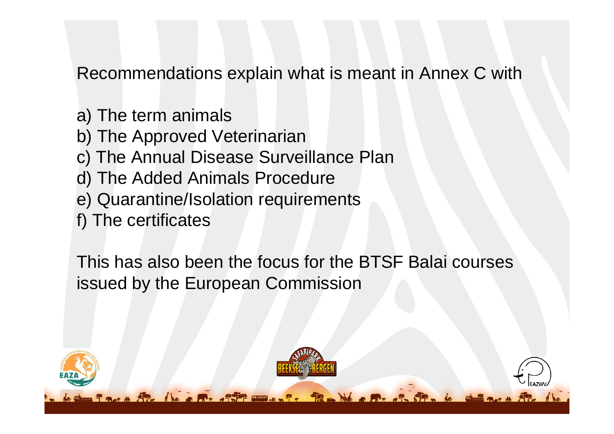Recommendations explain what is meant in Annex C with

a) The term animals b) The Approved Veterinarian c) The Annual Disease Surveillance Pland) The Added Animals Procedure e) Quarantine/Isolation requirementsf) The certificates

This has also been the focus for the BTSF Balai coursesissued by the European Commission

The officer was a few of the contract of the contract of

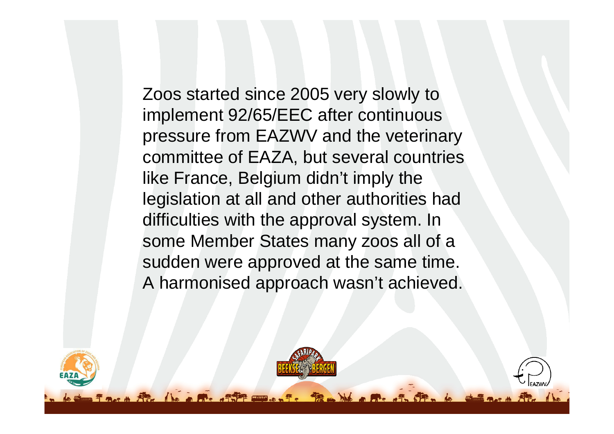Zoos started since 2005 very slowly to implement 92/65/EEC after continuous pressure from EAZWV and the veterinary committee of EAZA, but several countries like France, Belgium didn't imply the legislation at all and other authorities had difficulties with the approval system. In some Member States many zoos all of a sudden were approved at the same time.A harmonised approach wasn't achieved.

**The office of the contract of the office** of the office of the office of the office of the office of the office of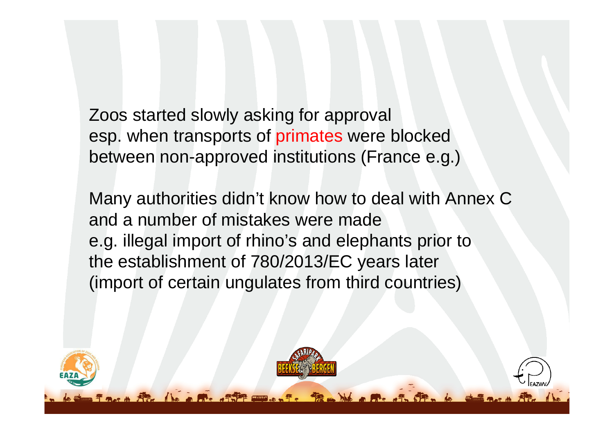Zoos started slowly asking for approvalesp. when transports of primates were blocked between non-approved institutions (France e.g.)

Many authorities didn't know how to deal with Annex Cand a number of mistakes were made e.g. illegal import of rhino's and elephants prior tothe establishment of 780/2013/EC years later(import of certain ungulates from third countries)

**Profit Eller Trade**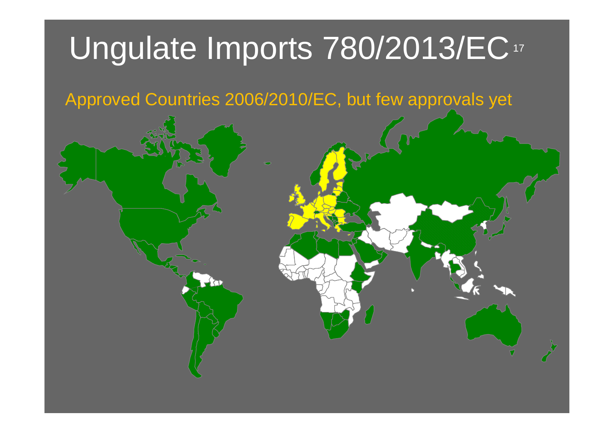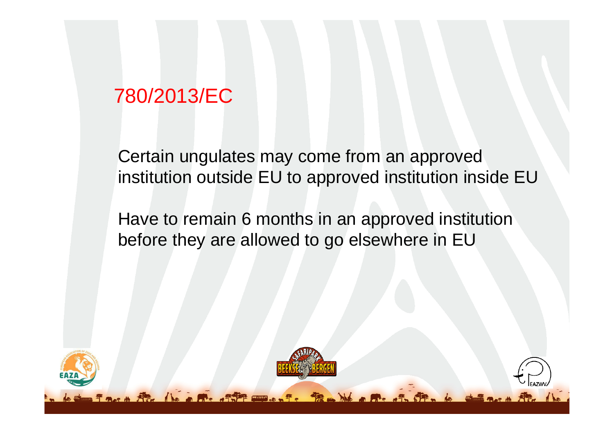### 780/2013/EC

Certain ungulates may come from an approvedinstitution outside EU to approved institution inside EU

Have to remain 6 months in an approved institutionbefore they are allowed to go elsewhere in EU

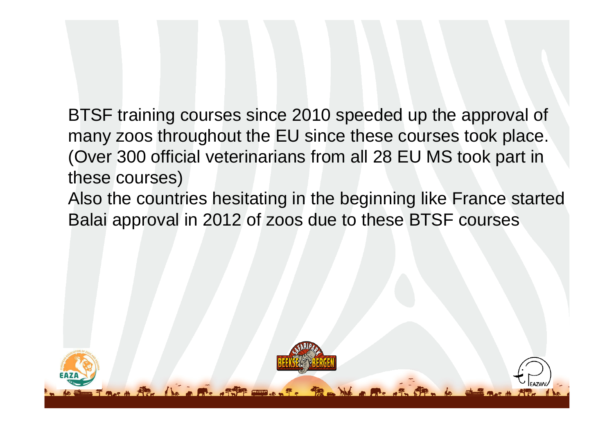BTSF training courses since 2010 speeded up the approval of many zoos throughout the EU since these courses took place.(Over 300 official veterinarians from all 28 EU MS took part in these courses)

 Also the countries hesitating in the beginning like France started Balai approval in 2012 of zoos due to these BTSF courses

**Profit Formes from the State of the State of the State of the State of the State of the State of the State of the State of the State of the State of the State of the State of the State of the State of the State of the Sta**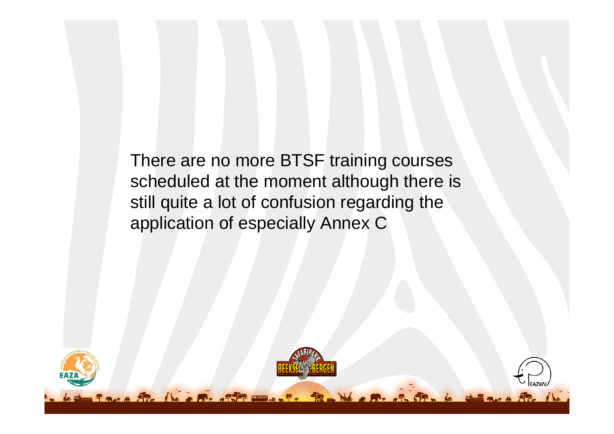There are no more BTSF training courses scheduled at the moment although there is still quite a lot of confusion regarding the application of especially Annex C

That it is a firm of the compact to the big of the first of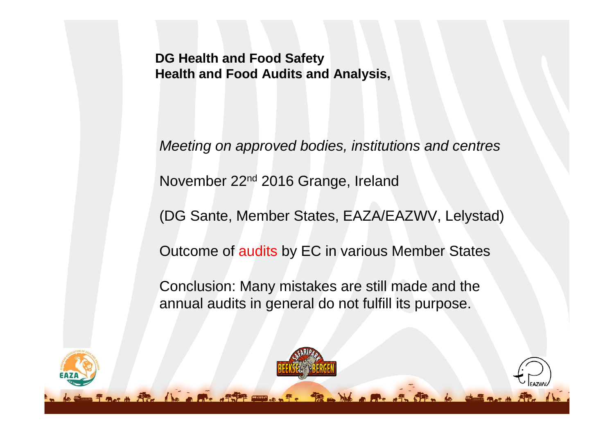**DG Health and Food SafetyHealth and Food Audits and Analysis,** 

Meeting on approved bodies, institutions and centresNovember 22<sup>nd</sup> 2016 Grange, Ireland (DG Sante, Member States, EAZA/EAZWV, Lelystad)Outcome of audits by EC in various Member States

Conclusion: Many mistakes are still made and the annual audits in general do not fulfill its purpose.

**THE STATE SHOP AS THE STATE OF BUT A FILED AT A STATE OF BUT A FILED AT A STATE OF BUT A FILED AT A STATE OF BUT A STATE OF BUT A STATE OF BUT A STATE OF BUT A STATE OF BUT A STATE OF BUT A STATE OF BUT A STATE OF BUT A S**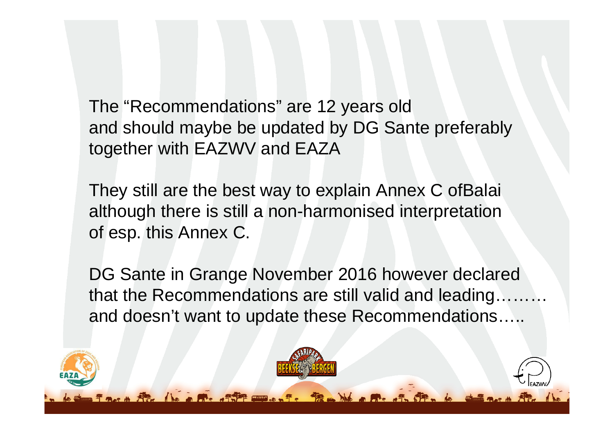The "Recommendations" are 12 years old and should maybe be updated by DG Sante preferablytogether with EAZWV and EAZA

They still are the best way to explain Annex C ofBalaialthough there is still a non-harmonised interpretationof esp. this Annex C.

DG Sante in Grange November 2016 however declared that the Recommendations are still valid and leading………and doesn't want to update these Recommendations…..

**The office was a first fixed the office of**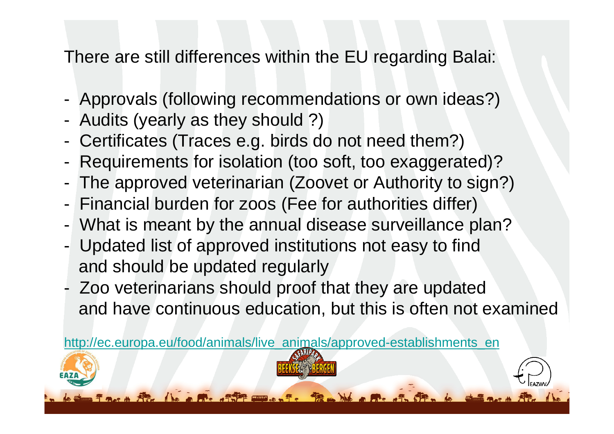There are still differences within the EU regarding Balai:

- -Approvals (following recommendations or own ideas?)
- -Audits (yearly as they should ?)
- -Certificates (Traces e.g. birds do not need them?)
- -Requirements for isolation (too soft, too exaggerated)?
- The annroved veterinarian (Zoovet or Authority to sign The approved veterinarian (Zoovet or Authority to sign?)
- -Financial burden for zoos (Fee for authorities differ)
- -What is meant by the annual disease surveillance plan?
- - Updated list of approved institutions not easy to find and should be updated regularly

http://ec.europa.eu/food/animals/live\_animals/approved-establishments\_en

- Zoo veterinarians should proof that they are updatedand have continuous education, but this is often not examined

**THE STATE SHOP AS THE STATE OF STATE OF STATE AND STATE OF STATE OF STATE OF STATE OF STATE OF STATE OF STATE**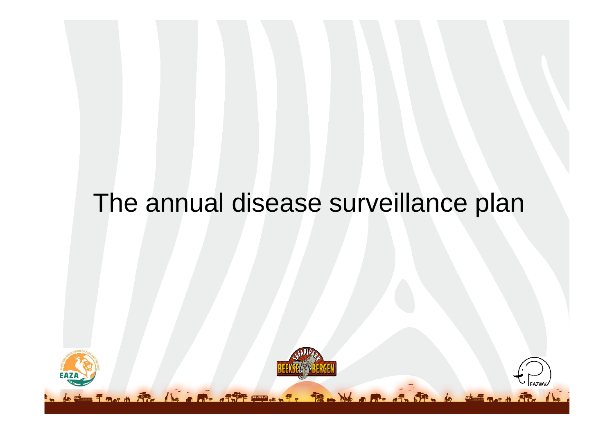# The annual disease surveillance plan

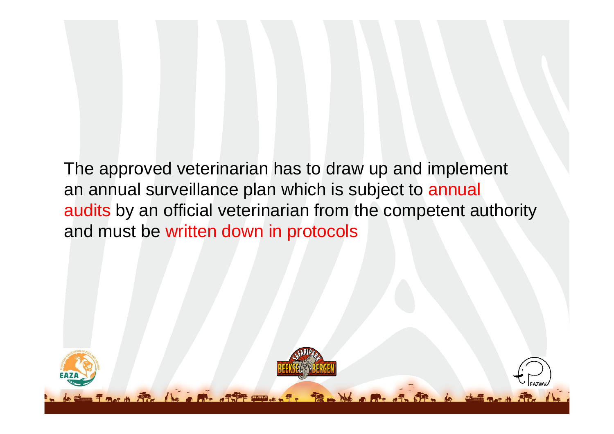The approved veterinarian has to draw up and implementan annual surveillance plan which is subject to annualaudits by an official veterinarian from the competent authority and must be written down in protocols

not the The office of the sense of the the office of the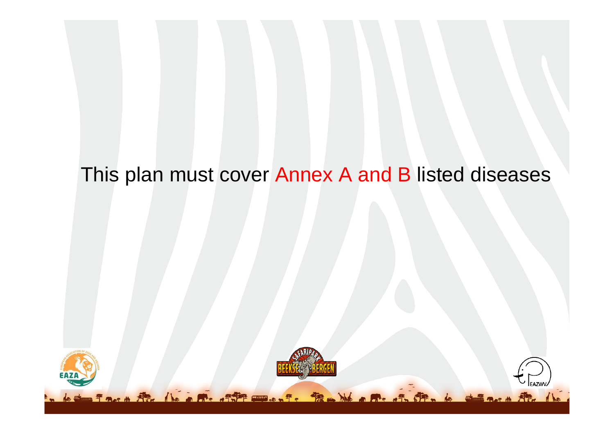# This plan must cover Annex A and B listed diseases

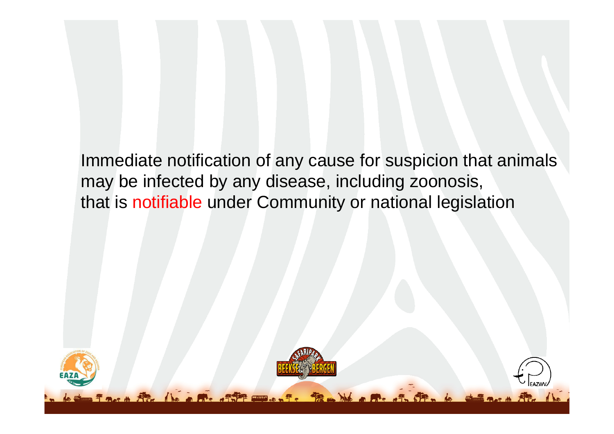Immediate notification of any cause for suspicion that animalsmay be infected by any disease, including zoonosis,that is notifiable under Community or national legislation

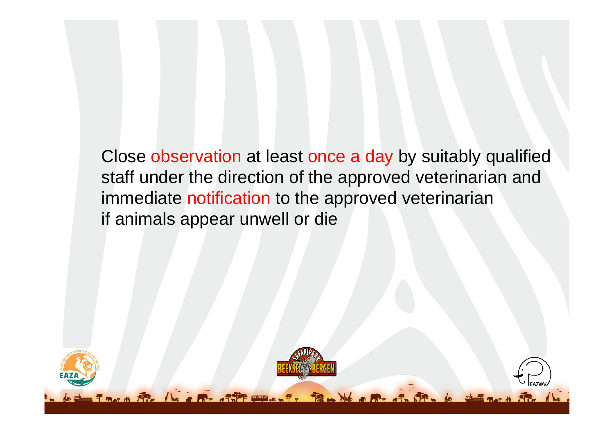Close observation at least once a day by suitably qualified staff under the direction of the approved veterinarian andimmediate notification to the approved veterinarianif animals appear unwell or die

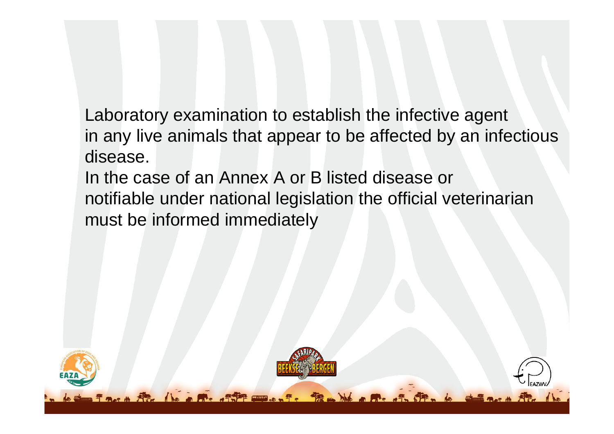Laboratory examination to establish the infective agentin any live animals that appear to be affected by an infectiousdisease.

In the case of an Annex A or B listed disease ornotifiable under national legislation the official veterinarianmust be informed immediately

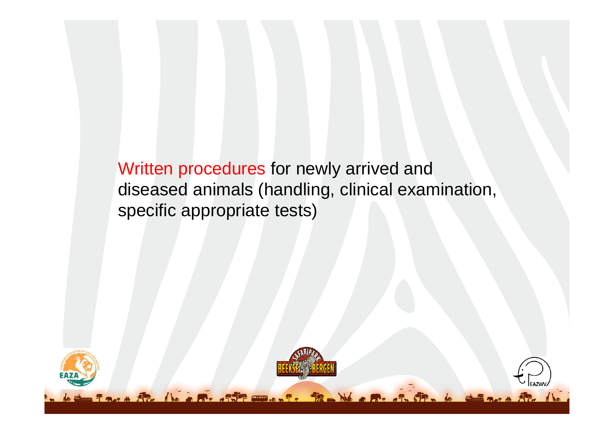Written procedures for newly arrived and diseased animals (handling, clinical examination,specific appropriate tests)

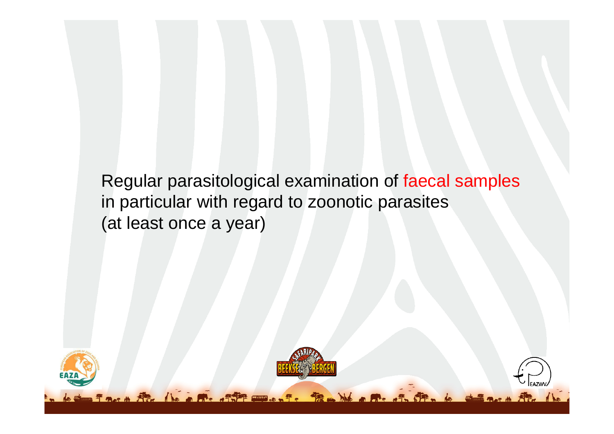Regular parasitological examination of faecal samplesin particular with regard to zoonotic parasites(at least once a year)

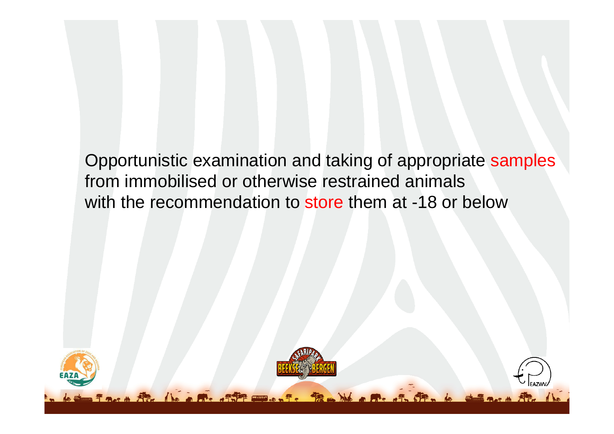Opportunistic examination and taking of appropriate samples from immobilised or otherwise restrained animals with the recommendation to <mark>store</mark> them at -18 or below

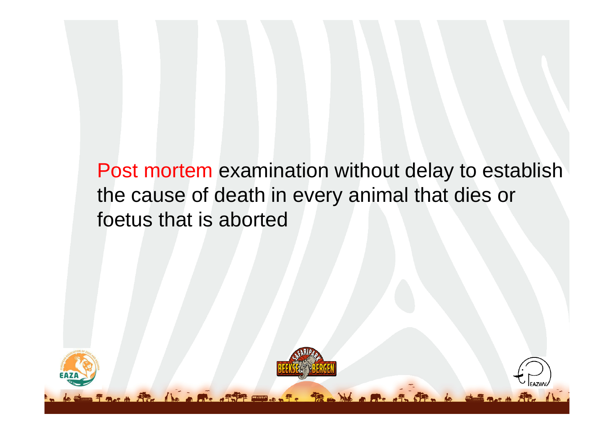Post mortem examination without delay to establishthe cause of death in every animal that dies or foetus that is aborted





That the the office of the second of the the office of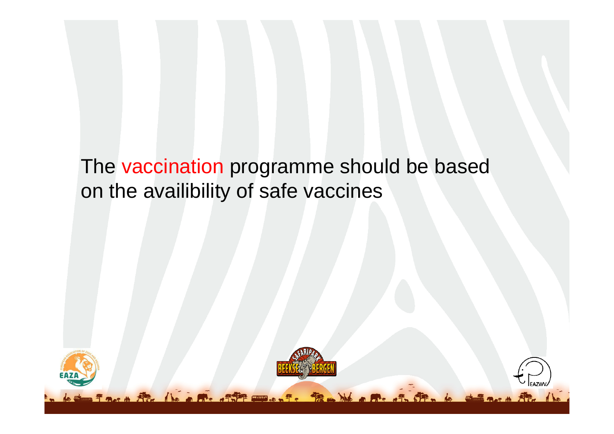# The vaccination programme should be based on the availibility of safe vaccines

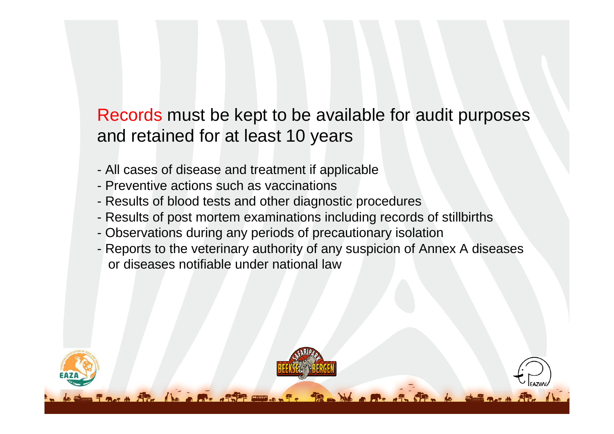#### Records must be kept to be available for audit purposes and retained for at least 10 years

- All cases of disease and treatment if applicable
- Preventive actions such as vaccinations
- Results of blood tests and other diagnostic procedures
- Results of post mortem examinations including records of stillbirths
- Observations during any periods of precautionary isolation
- Reports to the veterinary authority of any suspicion of Annex A diseasesor diseases notifiable under national law

**The office company of a fine of the office**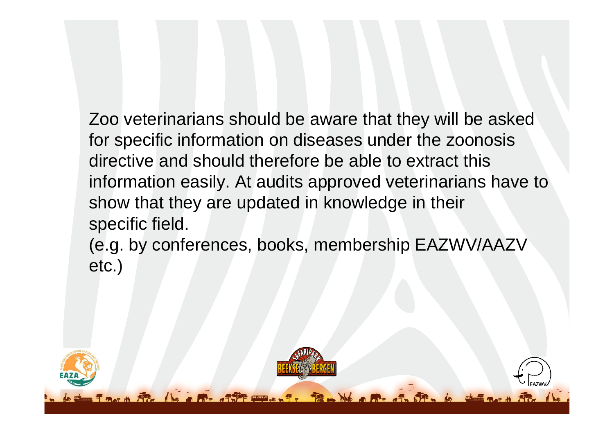Zoo veterinarians should be aware that they will be asked for specific information on diseases under the zoonosis directive and should therefore be able to extract this information easily. At audits approved veterinarians have to show that they are updated in knowledge in theirspecific field.

(e.g. by conferences, books, membership EAZWV/AAZV etc.)

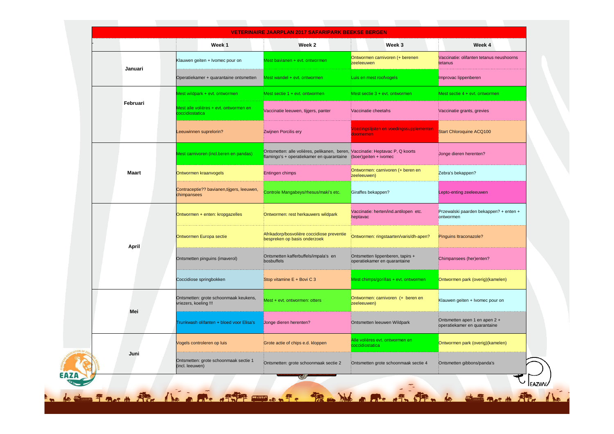|              | Week 1                                                         | Week 2                                                                                                                                           | Week <sub>3</sub>                                                | Week 4                                                        |  |
|--------------|----------------------------------------------------------------|--------------------------------------------------------------------------------------------------------------------------------------------------|------------------------------------------------------------------|---------------------------------------------------------------|--|
| Januari      | Klauwen geiten + Ivomec pour on                                | Mest bavianen + evt. ontwormen                                                                                                                   | Ontwormen carnivoren (+ berenen<br>zeeleeuwen                    | Vaccinatie: olifanten tetanus neushoorns<br>tetanus           |  |
|              | Operatiekamer + quarantaine ontsmetten                         | Mest wandel + evt. ontwormen                                                                                                                     | Luis en mest roofvogels                                          | Improvac lippenberen                                          |  |
|              | Mest wildpark + evt. ontwormen                                 | Mest sectie 1 + evt. ontwormen                                                                                                                   | Mest sectie 3 + evt. ontwormen                                   | Mest sectie 4 + evt. ontwormen                                |  |
| Februari     | lest alle volières + evt. ontwormen en<br>ccidiostatica        | Vaccinatie leeuwen, tijgers, panter                                                                                                              | Vaccinatie cheetahs                                              | Vaccinatie grants, grevies                                    |  |
|              | Leeuwinnen suprelorin?                                         | Zwijnen Porcilis ery                                                                                                                             | oedingslijsten en voedingssupplementen<br>doornemen              | Start Chloroquine ACQ100                                      |  |
|              | Mest carnivoren (incl.beren en pandas)                         | Ontsmetten: alle volières, pelikanen, beren, Vaccinatie: Heptavac P, Q koorts<br>flamingo's + operatiekamer en quarantaine (boer)geiten + ivomec |                                                                  | Jonge dieren herenten?                                        |  |
| <b>Maart</b> | Ontwormen kraanvogels                                          | Entingen chimps                                                                                                                                  | Ontwormen: carnivoren (+ beren en<br>zeeleeuwen)                 | Zebra's bekappen?                                             |  |
|              | Contraceptie?? bavianen, tijgers, leeuwen,<br>chimpansees      | Controle Mangabeys/rhesus/maki's etc.                                                                                                            | Giraffes bekappen?                                               | Lepto-enting zeeleeuwen                                       |  |
|              | Ontwormen + enten: kropgazelles                                | Ontwormen: rest herkauwers wildpark                                                                                                              | Vaccinatie: herten/ind.antilopen etc.<br>heptavac                | Przewalski paarden bekappen? + enten +<br>ontwormen           |  |
| April        | Ontwormen Europa sectie                                        | Afrikadorp/bosvolière coccidiose preventie<br>bespreken op basis onderzoek                                                                       | Ontwormen: ringstaarten/varis/dh-apen?                           | Pinguins Itraconazole?                                        |  |
|              | Ontsmetten pinguins (imaverol)                                 | Ontsmetten kafferbuffels/impala's en<br>bosbuffels                                                                                               | Ontsmetten lippenberen, tapirs +<br>operatiekamer en quarantaine | Chimpansees (her)enten?                                       |  |
|              | Coccidiose springbokken                                        | Stop vitamine E + Bovi C 3                                                                                                                       | Mest chimps/gorillas + evt. ontwormen                            | Ontwormen park (overig)(kamelen)                              |  |
|              | Ontsmetten: grote schoonmaak keukens,<br>vriezers, koeling !!! | Mest + evt. ontwormen: otters                                                                                                                    | Ontwormen: carnivoren (+ beren en<br>zeeleeuwen)                 | Klauwen geiten + Ivomec pour on                               |  |
| Mei          | Frunkwash olifanten + bloed voor Elisa's                       | Uonge dieren herenten?                                                                                                                           | Ontsmetten leeuwen Wildpark                                      | Ontsmetten apen 1 en apen 2 +<br>operatiekamer en quarantaine |  |
|              | Vogels controleren op luis                                     | Grote actie of chips e.d. kloppen                                                                                                                | Alle volières evt. ontwormen en<br>coccidiostatica               | Ontwormen park (overig)(kamelen)                              |  |
| Juni         | Ontsmetten: grote schoonmaak sectie 1<br>(incl. leeuwen)       | Ontsmetten: grote schoonmaak sectie 2                                                                                                            | Ontsmetten grote schoonmaak sectie 4                             | Ontsmetten gibbons/panda's                                    |  |

in to do it not it the disc of the other was not of the other of the de discontract the disc